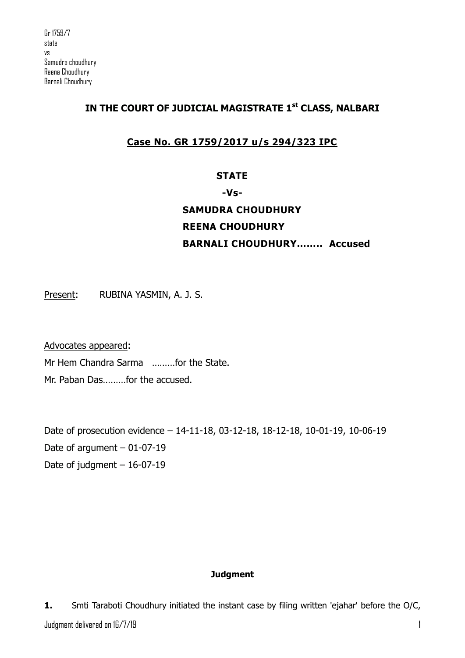## **IN THE COURT OF JUDICIAL MAGISTRATE 1st CLASS, NALBARI**

# **Case No. GR 1759/2017 u/s 294/323 IPC**

## **STATE**

## **-Vs-**

# **SAMUDRA CHOUDHURY REENA CHOUDHURY BARNALI CHOUDHURY…….. Accused**

Present: RUBINA YASMIN, A. J. S.

Advocates appeared:

Mr Hem Chandra Sarma ………for the State.

Mr. Paban Das………for the accused.

Date of prosecution evidence – 14-11-18, 03-12-18, 18-12-18, 10-01-19, 10-06-19 Date of argument  $-01-07-19$ Date of judgment  $-16-07-19$ 

#### **Judgment**

Judgment delivered on 16/7/19 1 **1.** Smti Taraboti Choudhury initiated the instant case by filing written 'ejahar' before the O/C,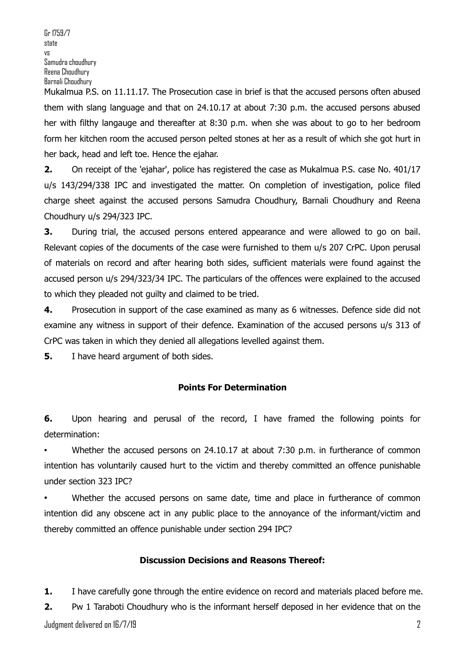Mukalmua P.S. on 11.11.17. The Prosecution case in brief is that the accused persons often abused them with slang language and that on 24.10.17 at about 7:30 p.m. the accused persons abused her with filthy langauge and thereafter at 8:30 p.m. when she was about to go to her bedroom form her kitchen room the accused person pelted stones at her as a result of which she got hurt in her back, head and left toe. Hence the ejahar.

**2.** On receipt of the 'ejahar', police has registered the case as Mukalmua P.S. case No. 401/17 u/s 143/294/338 IPC and investigated the matter. On completion of investigation, police filed charge sheet against the accused persons Samudra Choudhury, Barnali Choudhury and Reena Choudhury u/s 294/323 IPC.

**3.** During trial, the accused persons entered appearance and were allowed to go on bail. Relevant copies of the documents of the case were furnished to them u/s 207 CrPC. Upon perusal of materials on record and after hearing both sides, sufficient materials were found against the accused person u/s 294/323/34 IPC. The particulars of the offences were explained to the accused to which they pleaded not guilty and claimed to be tried.

**4.** Prosecution in support of the case examined as many as 6 witnesses. Defence side did not examine any witness in support of their defence. Examination of the accused persons u/s 313 of CrPC was taken in which they denied all allegations levelled against them.

**5.** I have heard argument of both sides.

#### **Points For Determination**

**6.** Upon hearing and perusal of the record, I have framed the following points for determination:

Whether the accused persons on 24.10.17 at about 7:30 p.m. in furtherance of common intention has voluntarily caused hurt to the victim and thereby committed an offence punishable under section 323 IPC?

Whether the accused persons on same date, time and place in furtherance of common intention did any obscene act in any public place to the annoyance of the informant/victim and thereby committed an offence punishable under section 294 IPC?

#### **Discussion Decisions and Reasons Thereof:**

**1.** I have carefully gone through the entire evidence on record and materials placed before me.

Judgment delivered on 16/7/19 2 **2.** Pw 1 Taraboti Choudhury who is the informant herself deposed in her evidence that on the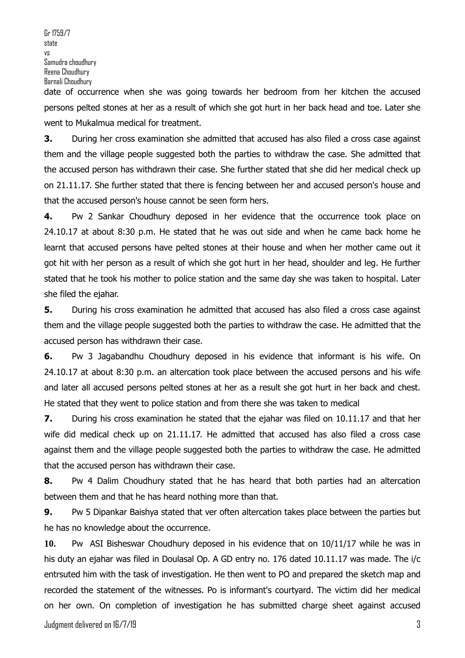Gr 1759/7 state vs Samudra choudhury Reena Choudhury Barnali Choudhury

date of occurrence when she was going towards her bedroom from her kitchen the accused persons pelted stones at her as a result of which she got hurt in her back head and toe. Later she went to Mukalmua medical for treatment.

**3.** During her cross examination she admitted that accused has also filed a cross case against them and the village people suggested both the parties to withdraw the case. She admitted that the accused person has withdrawn their case. She further stated that she did her medical check up on 21.11.17. She further stated that there is fencing between her and accused person's house and that the accused person's house cannot be seen form hers.

**4.** Pw 2 Sankar Choudhury deposed in her evidence that the occurrence took place on 24.10.17 at about 8:30 p.m. He stated that he was out side and when he came back home he learnt that accused persons have pelted stones at their house and when her mother came out it got hit with her person as a result of which she got hurt in her head, shoulder and leg. He further stated that he took his mother to police station and the same day she was taken to hospital. Later she filed the ejahar.

**5.** During his cross examination he admitted that accused has also filed a cross case against them and the village people suggested both the parties to withdraw the case. He admitted that the accused person has withdrawn their case.

**6.** Pw 3 Jagabandhu Choudhury deposed in his evidence that informant is his wife. On 24.10.17 at about 8:30 p.m. an altercation took place between the accused persons and his wife and later all accused persons pelted stones at her as a result she got hurt in her back and chest. He stated that they went to police station and from there she was taken to medical

**7.** During his cross examination he stated that the ejahar was filed on 10.11.17 and that her wife did medical check up on 21.11.17. He admitted that accused has also filed a cross case against them and the village people suggested both the parties to withdraw the case. He admitted that the accused person has withdrawn their case.

**8.** Pw 4 Dalim Choudhury stated that he has heard that both parties had an altercation between them and that he has heard nothing more than that.

**9.** Pw 5 Dipankar Baishya stated that ver often altercation takes place between the parties but he has no knowledge about the occurrence.

**10.** Pw ASI Bisheswar Choudhury deposed in his evidence that on 10/11/17 while he was in his duty an ejahar was filed in Doulasal Op. A GD entry no. 176 dated 10.11.17 was made. The i/c entrsuted him with the task of investigation. He then went to PO and prepared the sketch map and recorded the statement of the witnesses. Po is informant's courtyard. The victim did her medical on her own. On completion of investigation he has submitted charge sheet against accused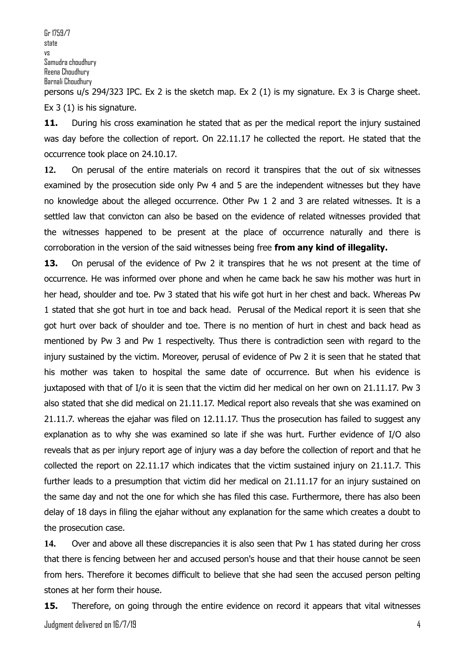Ex 3 (1) is his signature.

11. During his cross examination he stated that as per the medical report the injury sustained was day before the collection of report. On 22.11.17 he collected the report. He stated that the occurrence took place on 24.10.17.

**12.** On perusal of the entire materials on record it transpires that the out of six witnesses examined by the prosecution side only Pw 4 and 5 are the independent witnesses but they have no knowledge about the alleged occurrence. Other Pw 1 2 and 3 are related witnesses. It is a settled law that convicton can also be based on the evidence of related witnesses provided that the witnesses happened to be present at the place of occurrence naturally and there is corroboration in the version of the said witnesses being free **from any kind of illegality.**

**13.** On perusal of the evidence of Pw 2 it transpires that he ws not present at the time of occurrence. He was informed over phone and when he came back he saw his mother was hurt in her head, shoulder and toe. Pw 3 stated that his wife got hurt in her chest and back. Whereas Pw 1 stated that she got hurt in toe and back head. Perusal of the Medical report it is seen that she got hurt over back of shoulder and toe. There is no mention of hurt in chest and back head as mentioned by Pw 3 and Pw 1 respectivelty. Thus there is contradiction seen with regard to the injury sustained by the victim. Moreover, perusal of evidence of Pw 2 it is seen that he stated that his mother was taken to hospital the same date of occurrence. But when his evidence is juxtaposed with that of I/o it is seen that the victim did her medical on her own on 21.11.17. Pw 3 also stated that she did medical on 21.11.17. Medical report also reveals that she was examined on 21.11.7. whereas the ejahar was filed on 12.11.17. Thus the prosecution has failed to suggest any explanation as to why she was examined so late if she was hurt. Further evidence of I/O also reveals that as per injury report age of injury was a day before the collection of report and that he collected the report on 22.11.17 which indicates that the victim sustained injury on 21.11.7. This further leads to a presumption that victim did her medical on 21.11.17 for an injury sustained on the same day and not the one for which she has filed this case. Furthermore, there has also been delay of 18 days in filing the ejahar without any explanation for the same which creates a doubt to the prosecution case.

**14.** Over and above all these discrepancies it is also seen that Pw 1 has stated during her cross that there is fencing between her and accused person's house and that their house cannot be seen from hers. Therefore it becomes difficult to believe that she had seen the accused person pelting stones at her form their house.

Judgment delivered on 16/7/19 4 **15.** Therefore, on going through the entire evidence on record it appears that vital witnesses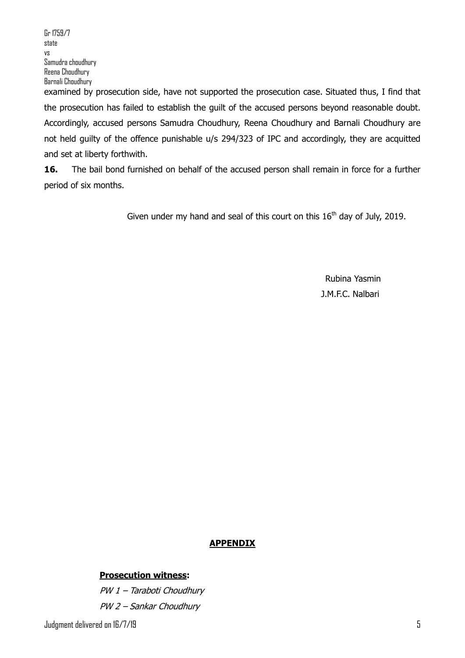the prosecution has failed to establish the guilt of the accused persons beyond reasonable doubt. Accordingly, accused persons Samudra Choudhury, Reena Choudhury and Barnali Choudhury are not held guilty of the offence punishable u/s 294/323 of IPC and accordingly, they are acquitted and set at liberty forthwith.

**16.** The bail bond furnished on behalf of the accused person shall remain in force for a further period of six months.

Given under my hand and seal of this court on this  $16<sup>th</sup>$  day of July, 2019.

Rubina Yasmin J.M.F.C. Nalbari

## **APPENDIX**

#### **Prosecution witness:**

PW 1 – Taraboti Choudhury PW 2 – Sankar Choudhury